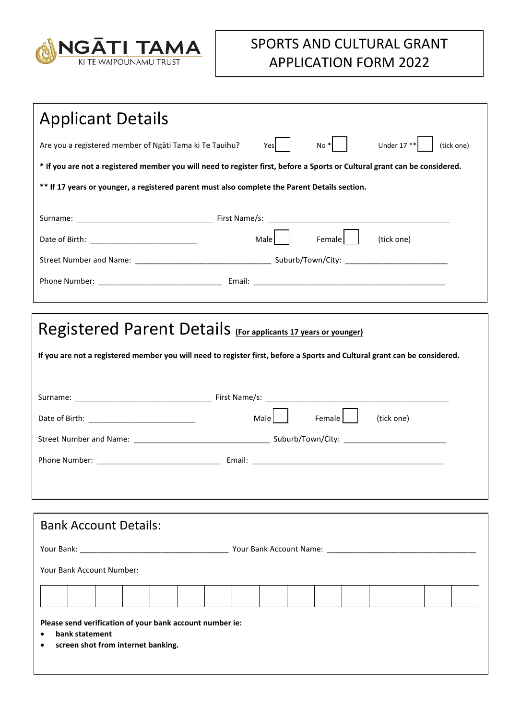

## SPORTS AND CULTURAL GRANT APPLICATION FORM 2022

| <b>Applicant Details</b>                                                                                                   |  |  |  |  |
|----------------------------------------------------------------------------------------------------------------------------|--|--|--|--|
| Under $17**$<br>Are you a registered member of Ngati Tama ki Te Tauihu?<br>$No *$<br>(tick one)<br>Yesl                    |  |  |  |  |
| * If you are not a registered member you will need to register first, before a Sports or Cultural grant can be considered. |  |  |  |  |
| ** If 17 years or younger, a registered parent must also complete the Parent Details section.                              |  |  |  |  |
|                                                                                                                            |  |  |  |  |
| Female  <br>Male<br>(tick one)                                                                                             |  |  |  |  |
|                                                                                                                            |  |  |  |  |
|                                                                                                                            |  |  |  |  |
|                                                                                                                            |  |  |  |  |
| Registered Parent Details (For applicants 17 years or younger)                                                             |  |  |  |  |
|                                                                                                                            |  |  |  |  |
| If you are not a registered member you will need to register first, before a Sports and Cultural grant can be considered.  |  |  |  |  |
|                                                                                                                            |  |  |  |  |
|                                                                                                                            |  |  |  |  |
| Samale    <br>Male<br>(tick one)                                                                                           |  |  |  |  |
|                                                                                                                            |  |  |  |  |
|                                                                                                                            |  |  |  |  |
|                                                                                                                            |  |  |  |  |
|                                                                                                                            |  |  |  |  |
| <b>Bank Account Details:</b>                                                                                               |  |  |  |  |
|                                                                                                                            |  |  |  |  |
| Your Bank Account Number:                                                                                                  |  |  |  |  |
|                                                                                                                            |  |  |  |  |
|                                                                                                                            |  |  |  |  |
| Please send verification of your bank account number ie:<br>bank statement<br>٠<br>screen shot from internet banking.<br>٠ |  |  |  |  |
|                                                                                                                            |  |  |  |  |